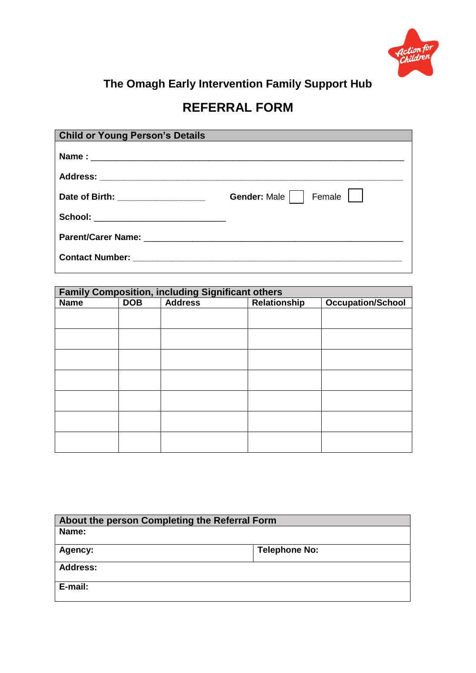

## **REFERRAL FORM**

| <b>Child or Young Person's Details</b> |                            |
|----------------------------------------|----------------------------|
|                                        |                            |
|                                        |                            |
| Date of Birth: _________________       | Female    <br>Gender: Male |
|                                        |                            |
|                                        |                            |
|                                        |                            |

| <b>Family Composition, including Significant others</b> |            |                |              |                          |
|---------------------------------------------------------|------------|----------------|--------------|--------------------------|
| <b>Name</b>                                             | <b>DOB</b> | <b>Address</b> | Relationship | <b>Occupation/School</b> |
|                                                         |            |                |              |                          |
|                                                         |            |                |              |                          |
|                                                         |            |                |              |                          |
|                                                         |            |                |              |                          |
|                                                         |            |                |              |                          |
|                                                         |            |                |              |                          |
|                                                         |            |                |              |                          |
|                                                         |            |                |              |                          |
|                                                         |            |                |              |                          |
|                                                         |            |                |              |                          |
|                                                         |            |                |              |                          |
|                                                         |            |                |              |                          |

| About the person Completing the Referral Form |                      |  |
|-----------------------------------------------|----------------------|--|
| Name:                                         |                      |  |
| Agency:                                       | <b>Telephone No:</b> |  |
| <b>Address:</b>                               |                      |  |
| E-mail:                                       |                      |  |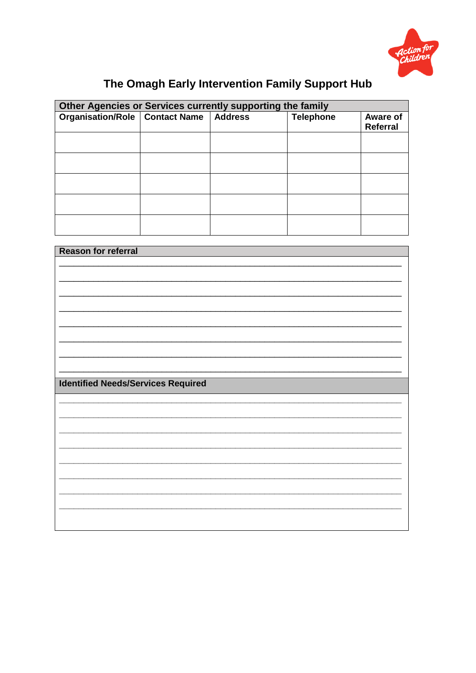

| Other Agencies or Services currently supporting the family |  |  |                  |                      |
|------------------------------------------------------------|--|--|------------------|----------------------|
| Organisation/Role   Contact Name   Address                 |  |  | <b>Telephone</b> | Aware of<br>Referral |
|                                                            |  |  |                  |                      |
|                                                            |  |  |                  |                      |
|                                                            |  |  |                  |                      |
|                                                            |  |  |                  |                      |
|                                                            |  |  |                  |                      |
|                                                            |  |  |                  |                      |
|                                                            |  |  |                  |                      |
|                                                            |  |  |                  |                      |
|                                                            |  |  |                  |                      |
|                                                            |  |  |                  |                      |
|                                                            |  |  |                  |                      |

| <b>Reason for referral</b>                |  |  |
|-------------------------------------------|--|--|
|                                           |  |  |
|                                           |  |  |
|                                           |  |  |
|                                           |  |  |
|                                           |  |  |
|                                           |  |  |
|                                           |  |  |
|                                           |  |  |
|                                           |  |  |
|                                           |  |  |
|                                           |  |  |
| <b>Identified Needs/Services Required</b> |  |  |
|                                           |  |  |
|                                           |  |  |
|                                           |  |  |
|                                           |  |  |
|                                           |  |  |
|                                           |  |  |
|                                           |  |  |
|                                           |  |  |
|                                           |  |  |
|                                           |  |  |
|                                           |  |  |
|                                           |  |  |
|                                           |  |  |
|                                           |  |  |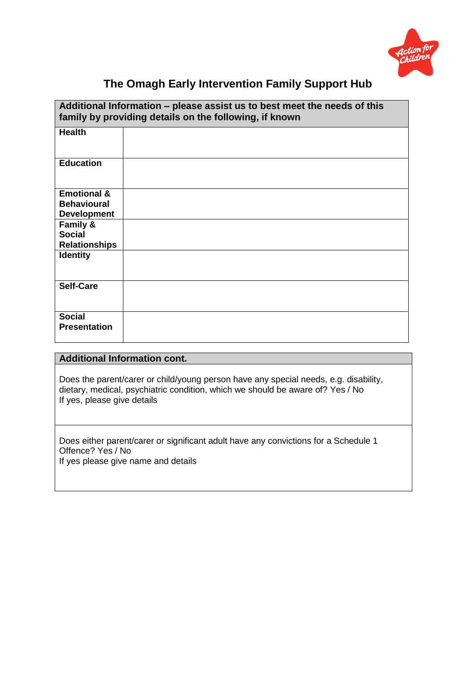

| Additional Information - please assist us to best meet the needs of this<br>family by providing details on the following, if known |  |  |
|------------------------------------------------------------------------------------------------------------------------------------|--|--|
| <b>Health</b>                                                                                                                      |  |  |
| <b>Education</b>                                                                                                                   |  |  |
| <b>Emotional &amp;</b>                                                                                                             |  |  |
| <b>Behavioural</b>                                                                                                                 |  |  |
| <b>Development</b>                                                                                                                 |  |  |
| Family &                                                                                                                           |  |  |
| <b>Social</b>                                                                                                                      |  |  |
| <b>Relationships</b>                                                                                                               |  |  |
| <b>Identity</b>                                                                                                                    |  |  |
| <b>Self-Care</b>                                                                                                                   |  |  |
| <b>Social</b><br><b>Presentation</b>                                                                                               |  |  |

### **Additional Information cont.**

Does the parent/carer or child/young person have any special needs, e.g. disability, dietary, medical, psychiatric condition, which we should be aware of? Yes / No If yes, please give details

Does either parent/carer or significant adult have any convictions for a Schedule 1 Offence? Yes / No If yes please give name and details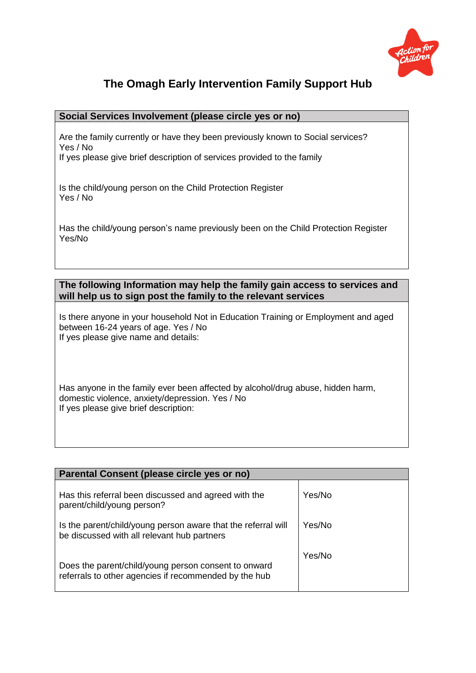

#### **Social Services Involvement (please circle yes or no)**

Are the family currently or have they been previously known to Social services? Yes / No

If yes please give brief description of services provided to the family

Is the child/young person on the Child Protection Register Yes / No

Has the child/young person's name previously been on the Child Protection Register Yes/No

**The following Information may help the family gain access to services and will help us to sign post the family to the relevant services**

Is there anyone in your household Not in Education Training or Employment and aged between 16-24 years of age. Yes / No If yes please give name and details:

Has anyone in the family ever been affected by alcohol/drug abuse, hidden harm, domestic violence, anxiety/depression. Yes / No If yes please give brief description:

| Parental Consent (please circle yes or no)                                                                    |        |  |
|---------------------------------------------------------------------------------------------------------------|--------|--|
| Has this referral been discussed and agreed with the<br>parent/child/young person?                            | Yes/No |  |
| Is the parent/child/young person aware that the referral will<br>be discussed with all relevant hub partners  | Yes/No |  |
| Does the parent/child/young person consent to onward<br>referrals to other agencies if recommended by the hub | Yes/No |  |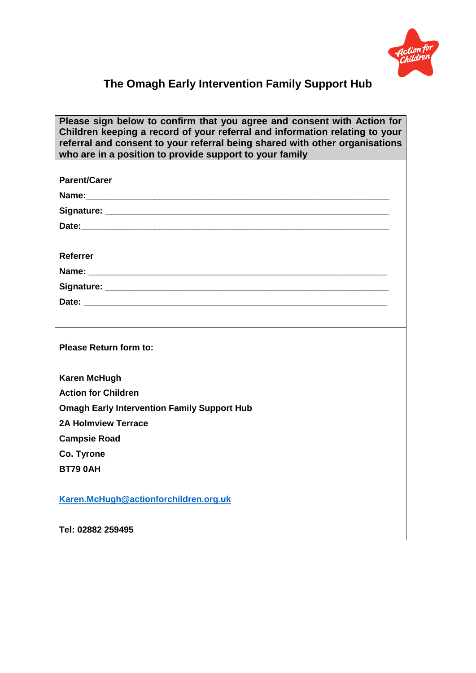

| Please sign below to confirm that you agree and consent with Action for<br>Children keeping a record of your referral and information relating to your<br>referral and consent to your referral being shared with other organisations<br>who are in a position to provide support to your family |
|--------------------------------------------------------------------------------------------------------------------------------------------------------------------------------------------------------------------------------------------------------------------------------------------------|
| <b>Parent/Carer</b>                                                                                                                                                                                                                                                                              |
|                                                                                                                                                                                                                                                                                                  |
|                                                                                                                                                                                                                                                                                                  |
|                                                                                                                                                                                                                                                                                                  |
|                                                                                                                                                                                                                                                                                                  |
| Referrer                                                                                                                                                                                                                                                                                         |
|                                                                                                                                                                                                                                                                                                  |
|                                                                                                                                                                                                                                                                                                  |
|                                                                                                                                                                                                                                                                                                  |
|                                                                                                                                                                                                                                                                                                  |
| <b>Please Return form to:</b>                                                                                                                                                                                                                                                                    |
| <b>Karen McHugh</b>                                                                                                                                                                                                                                                                              |
| <b>Action for Children</b>                                                                                                                                                                                                                                                                       |
| <b>Omagh Early Intervention Family Support Hub</b>                                                                                                                                                                                                                                               |
| <b>2A Holmview Terrace</b>                                                                                                                                                                                                                                                                       |
| <b>Campsie Road</b>                                                                                                                                                                                                                                                                              |
| Co. Tyrone                                                                                                                                                                                                                                                                                       |
| <b>BT79 0AH</b>                                                                                                                                                                                                                                                                                  |
| Karen.McHugh@actionforchildren.org.uk                                                                                                                                                                                                                                                            |
| Tel: 02882 259495                                                                                                                                                                                                                                                                                |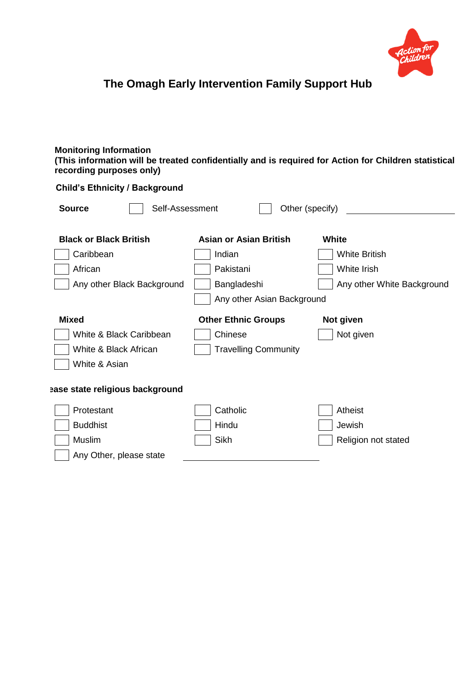

 **Child's Ethnicity / Background**

#### **Monitoring Information (This information will be treated confidentially and is required for Action for Children statistical recording purposes only)**

| <b>Source</b><br>Self-Assessment<br>Other (specify) |                             |                            |  |
|-----------------------------------------------------|-----------------------------|----------------------------|--|
| <b>Black or Black British</b>                       | Asian or Asian British      | White                      |  |
| Caribbean                                           | Indian                      | <b>White British</b>       |  |
| African                                             | Pakistani                   | White Irish                |  |
| Any other Black Background                          | Bangladeshi                 | Any other White Background |  |
|                                                     | Any other Asian Background  |                            |  |
| <b>Mixed</b>                                        | <b>Other Ethnic Groups</b>  | Not given                  |  |
| White & Black Caribbean                             | Chinese                     | Not given                  |  |
| White & Black African                               | <b>Travelling Community</b> |                            |  |
| White & Asian                                       |                             |                            |  |
| ease state religious background                     |                             |                            |  |
| Protestant                                          | Catholic                    | Atheist                    |  |
| <b>Buddhist</b>                                     | Hindu                       | Jewish                     |  |
| Muslim                                              | Sikh                        | Religion not stated        |  |
| Any Other, please state                             |                             |                            |  |